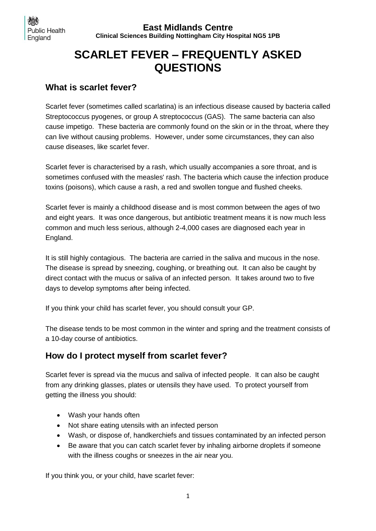**East Midlands Centre Clinical Sciences Building Nottingham City Hospital NG5 1PB**

# **SCARLET FEVER – FREQUENTLY ASKED QUESTIONS**

#### **What is scarlet fever?**

Scarlet fever (sometimes called scarlatina) is an infectious disease caused by bacteria called Streptococcus pyogenes, or group A streptococcus (GAS). The same bacteria can also cause impetigo. These bacteria are commonly found on the skin or in the throat, where they can live without causing problems. However, under some circumstances, they can also cause diseases, like scarlet fever.

Scarlet fever is characterised by a rash, which usually accompanies a sore throat, and is sometimes confused with the measles' rash. The bacteria which cause the infection produce toxins (poisons), which cause a rash, a red and swollen tongue and flushed cheeks.

Scarlet fever is mainly a childhood disease and is most common between the ages of two and eight years. It was once dangerous, but antibiotic treatment means it is now much less common and much less serious, although 2-4,000 cases are diagnosed each year in England.

It is still highly contagious. The bacteria are carried in the saliva and mucous in the nose. The disease is spread by sneezing, coughing, or breathing out. It can also be caught by direct contact with the mucus or saliva of an infected person. It takes around two to five days to develop symptoms after being infected.

If you think your child has scarlet fever, you should consult your GP.

The disease tends to be most common in the winter and spring and the treatment consists of a 10-day course of antibiotics.

#### **How do I protect myself from scarlet fever?**

Scarlet fever is spread via the mucus and saliva of infected people. It can also be caught from any drinking glasses, plates or utensils they have used. To protect yourself from getting the illness you should:

- Wash your hands often
- Not share eating utensils with an infected person
- Wash, or dispose of, handkerchiefs and tissues contaminated by an infected person
- Be aware that you can catch scarlet fever by inhaling airborne droplets if someone with the illness coughs or sneezes in the air near you.

If you think you, or your child, have scarlet fever: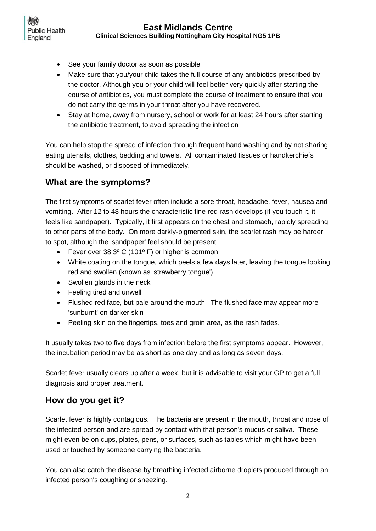- **Public Health** England
	- See your family doctor as soon as possible
	- Make sure that you/your child takes the full course of any antibiotics prescribed by the doctor. Although you or your child will feel better very quickly after starting the course of antibiotics, you must complete the course of treatment to ensure that you do not carry the germs in your throat after you have recovered.
	- Stay at home, away from nursery, school or work for at least 24 hours after starting the antibiotic treatment, to avoid spreading the infection

You can help stop the spread of infection through frequent hand washing and by not sharing eating utensils, clothes, bedding and towels. All contaminated tissues or handkerchiefs should be washed, or disposed of immediately.

# **What are the symptoms?**

The first symptoms of scarlet fever often include a sore throat, headache, fever, nausea and vomiting. After 12 to 48 hours the characteristic fine red rash develops (if you touch it, it feels like sandpaper). Typically, it first appears on the chest and stomach, rapidly spreading to other parts of the body. On more darkly-pigmented skin, the scarlet rash may be harder to spot, although the 'sandpaper' feel should be present

- Fever over 38.3º C (101º F) or higher is common
- White coating on the tongue, which peels a few days later, leaving the tongue looking red and swollen (known as 'strawberry tongue')
- Swollen glands in the neck
- Feeling tired and unwell
- Flushed red face, but pale around the mouth. The flushed face may appear more 'sunburnt' on darker skin
- Peeling skin on the fingertips, toes and groin area, as the rash fades.

It usually takes two to five days from infection before the first symptoms appear. However, the incubation period may be as short as one day and as long as seven days.

Scarlet fever usually clears up after a week, but it is advisable to visit your GP to get a full diagnosis and proper treatment.

# **How do you get it?**

Scarlet fever is highly contagious. The bacteria are present in the mouth, throat and nose of the infected person and are spread by contact with that person's mucus or saliva. These might even be on cups, plates, pens, or surfaces, such as tables which might have been used or touched by someone carrying the bacteria.

You can also catch the disease by breathing infected airborne droplets produced through an infected person's coughing or sneezing.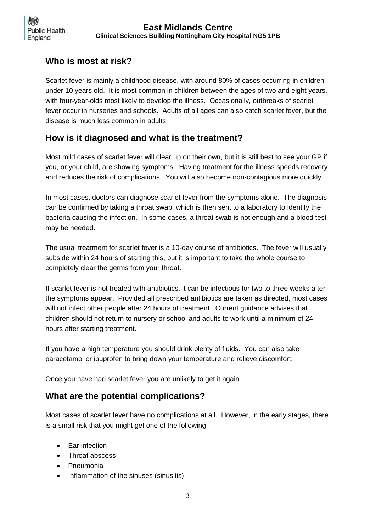# **Who is most at risk?**

Scarlet fever is mainly a childhood disease, with around 80% of cases occurring in children under 10 years old. It is most common in children between the ages of two and eight years, with four-year-olds most likely to develop the illness. Occasionally, outbreaks of scarlet fever occur in nurseries and schools. Adults of all ages can also catch scarlet fever, but the disease is much less common in adults.

## **How is it diagnosed and what is the treatment?**

Most mild cases of scarlet fever will clear up on their own, but it is still best to see your GP if you, or your child, are showing symptoms. Having treatment for the illness speeds recovery and reduces the risk of complications. You will also become non-contagious more quickly.

In most cases, doctors can diagnose scarlet fever from the symptoms alone. The diagnosis can be confirmed by taking a throat swab, which is then sent to a laboratory to identify the bacteria causing the infection. In some cases, a throat swab is not enough and a blood test may be needed.

The usual treatment for scarlet fever is a 10-day course of antibiotics. The fever will usually subside within 24 hours of starting this, but it is important to take the whole course to completely clear the germs from your throat.

If scarlet fever is not treated with antibiotics, it can be infectious for two to three weeks after the symptoms appear. Provided all prescribed antibiotics are taken as directed, most cases will not infect other people after 24 hours of treatment. Current guidance advises that children should not return to nursery or school and adults to work until a minimum of 24 hours after starting treatment.

If you have a high temperature you should drink plenty of fluids. You can also take paracetamol or ibuprofen to bring down your temperature and relieve discomfort.

Once you have had scarlet fever you are unlikely to get it again.

## **What are the potential complications?**

Most cases of scarlet fever have no complications at all. However, in the early stages, there is a small risk that you might get one of the following:

- Ear infection
- Throat abscess
- Pneumonia
- Inflammation of the sinuses (sinusitis)